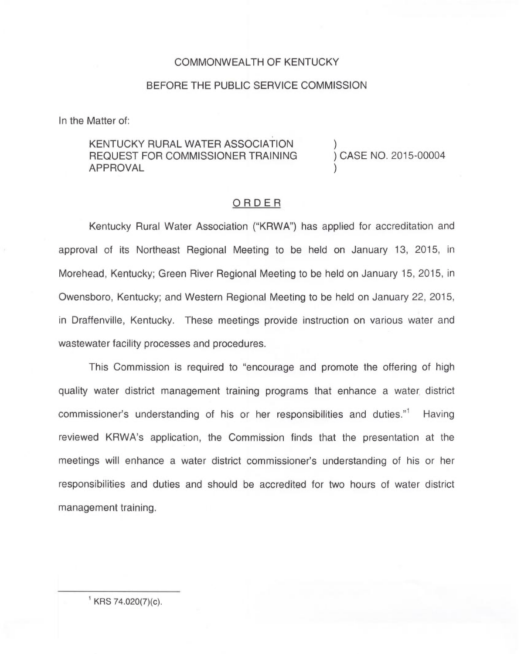## COMMONWEALTH OF KENTUCKY

## BEFORE THE PUBLIC SERVICE COMMISSION

In the Matter of:

## KENTUCKY RURAL WATER ASSOCIATION REQUEST FOR COMMISSIONER TRAINING APPROVAL

) ) CASE NO. 2015-00004

)

## ORDER

Kentucky Rural Water Association ("KRWA") has applied for accreditation and approval of its Northeast Regional Meeting to be held on January 13, 2015, in Morehead, Kentucky; Green River Regional Meeting to be held on January 15, 2015, in Owensboro, Kentucky; and Western Regional Meeting to be held on January 22, 2015, in Draffenville, Kentucky. These meetings provide instruction on various water and wastewater facility processes and procedures.

This Commission is required to "encourage and promote the offering of high quality water district management training programs that enhance a water district commissioner's understanding of his or her responsibilities and duties."<sup>1</sup> Having reviewed KRWA's application, the Commission finds that the presentation at the meetings will enhance a water district commissioner's understanding of his or her responsibilities and duties and should be accredited for two hours of water district management training.

 $KRS$  74.020(7)(c).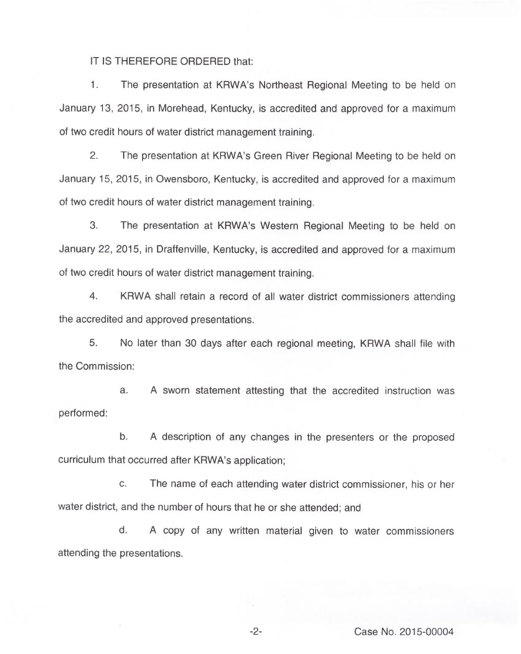IT IS THEREFORE ORDERED that:

1. The presentation at KRWA's Northeast Regional Meeting to be held on January 13, 2015, in Morehead, Kentucky, is accredited and approved for a maximum of two credit hours of water district management training.

2. The presentation at KRWA's Green River Regional Meeting to be held on January 15, 2015, in Owensboro, Kentucky, is accredited and approved for a maximum of two credit hours of water district management training.

3. The presentation at KRWA's Western Regional Meeting to be held on January 22, 2015, in Draffenville, Kentucky, is accredited and approved for a maximum of two credit hours of water district management training.

4. KRWA shall retain a record of all water district commissioners attending the accredited and approved presentations.

5. No later than 30 days after each regional meeting, KRWA shall file with the Commission:

a. <sup>A</sup> sworn statement attesting that the accredited instruction was performed:

b. <sup>A</sup> description of any changes in the presenters or the proposed curriculum that occurred after KRWA's application;

c. The name of each attending water district commissioner, his or her water district, and the number of hours that he or she attended; and

d. <sup>A</sup> copy of any written material given to water commissioners attending the presentations.

-2- Case No. 2015-00004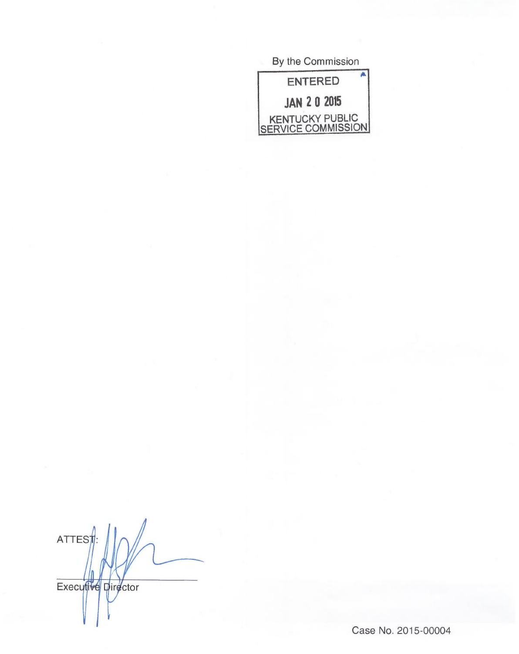By the Commission  $\overline{\mathbf{A}}$ **ENTERED JAN 2 0 2015** KENTUCKY PUBLIC<br>SERVICE COMMISSION

ATTEST Executive Director

Case No. 2015-00004